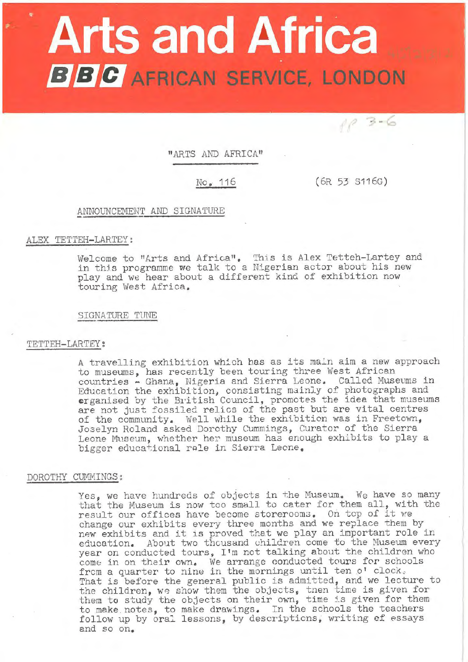# **Arts and Africa BBC** AFRICAN SERVICE, LONDON

"ARTS AND AFRICA"

No. 116 (6R 53 S116G)

 $103-6$ 

# ANNOUNCEMENT AND SIGNATURE

# ALEX TETTEH-LARTEY:

Welcome to "Arts and Africa". This is Alex Tetteh-Lartey and in this programme we talk to a Nigerian actor about his new play and we hear about a different kind of exhibition now touring West Africa.

# SIGNATURE TUNE

# 'rETTEH-LARTEY:

A travelling exhibition which has as its main aim a new approach to museums, has recently been touring three West African countries - Ghana, Nigeria and Sierra Leone. Called Museums in Education the exhibition, consisting mainly of photographs and equivalent the exhibition, considering mainly of photographs and are not just fossiled relics of the past but are vital centres of the community. Well while the exhibition was in Freetown, Joselyn Roland asked Dorothy Cummings, Curator of the Sierra Leone Museum, whether her museum has enough exhibits to play a bigger educational role in Sierra Leone.

#### DOROTHY CUMMINGS:

Yes, we have hundreds of objects in the Museum. We have so many that the Museum is now too small to cater for them all, with the result our offices have become storerooms. On top of it we change our exhibits every three months and we replace them by change our exhibits every three months and we replace them by<br>new exhibits and it is proved that we play an important role in education. About two thcusand children come to the Museum every year on conducted tours, I'm not talking about the children who come in on their own. We arrange conducted tours for schools from a quarter to nine in the mornings until ten o' clock.<br>That is before the general public is admitted, and we lecture to the children, we show them the objects, tnen time is given for them to study the objects on their own, time is given for them to make . notes, to make drawings. In the schools the teachers follow up by oral lessons, by descriptions, writing of essays and so on.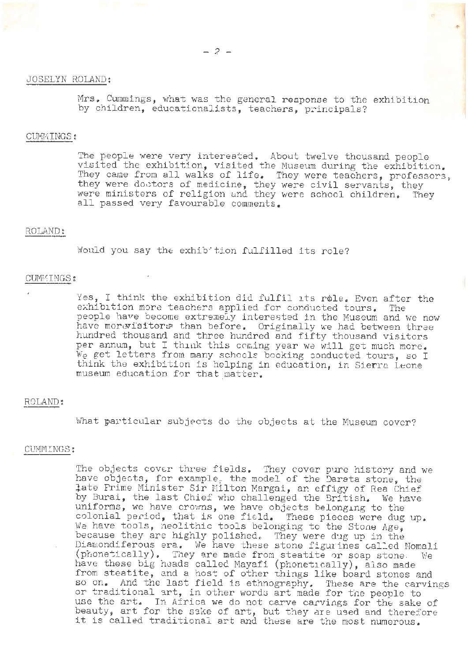## JOSELYN ROLAND:

Mrs. Cummings, what was the general response to the exhibition by children, educationalists, teachers, principals?

,.

#### CUMMINGS:

The people were very interested. About twelve thousand people visited the exhibition, visited the Museum during the exhibition. They came from all walks of life. They were teachers, professors, they were doctors of medicine, they were civil servants, they were ministers of religion and they were school children. They all passed very favourable comments.

# ROLAND:

Would you say the exhib tion fulfilled its role?

# CUMMINGS:

Yes, I think the exhibition did fulfil its role. Even after the exhibition more teachers applied for conducted tours. The exhibition more teachers applied for conducted tours. people have become extremely interested in the Museum and we now have morevisitors than before. Originally we had between three hundred thousand and three hundred and fifty thousand visitors per annum, but I think this coming year we will get much more. We get letters from many schools booking conducted tours, so I think the exhibition is helping in education, in Sierra Leone museum education for that matter.

#### ROLAND:

What particular subjects do the objects at the Museum cover?

#### CUMMINGS:

The objects cover three fields. They cover pure history and we have objects, for example, the model of the Darata stone, the iate Prime Minister Sir Milton Margai, an effigy of Rea Chief by Burai, the last Chief who challenged the British. We have uniforms, we have crovms, we have objects belonging to the differences, we have crowns, we have objects beronging to the<br>colonial period, that is one field. These pieces were dug up. We have tools, neolithic tools belonging to the Stone Age. because they are highly polished. They were dug up in the Diamondiferous era. We have these stone figurines called Nomali (phonetically). They are made from steatite or soap stone. We have these big heads called Mayafi (phonetically), also made from steatite, and a host of other things like board stones and so on. And the last field is ethnography. These are the carvings or traditional art, in other words art made for the people to use the art. In Africa we do not carve carvings for the sake of doc the drive in Africa we do not canve canvings for the sake of<br>beauty, art for the sake of art, but they are used and therefore beauty, art for the sake of art, but they are used and theref<br>it is called traditional art and these are the most numerous.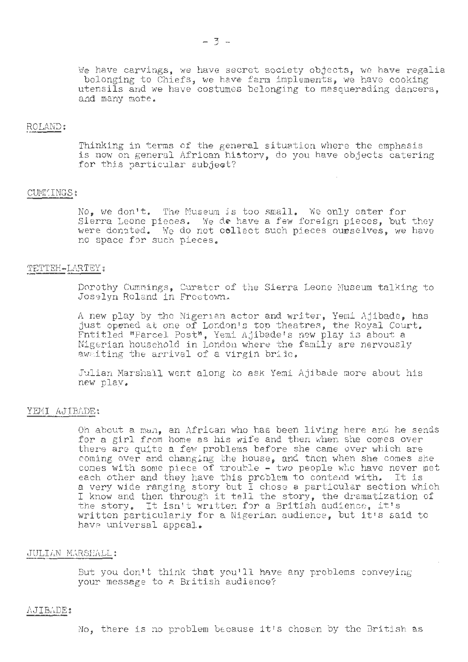# ROLAND:

and many mote.

Thinking in terms of the general situation where the emphasis is now on general African history, do you have objects catering for this particular subject?

#### CUMMINGS:

No. we don't. The Museum is too small. We only cater for Sierra Leone pieces. We do have a few foreign pieces, but they were donated. We do not collect such pieces ourselves, we have no space for such pieces.

#### TETTEH-LARTEY:

Dorothy Cumnings, Curatcr of the Sierra Leone Museum talking to Joselyn Roland in Freetown.

A new play by the Nigerian actor and writer, Yemi Ajibade, has just opened at one of London's top theatres , the Royal Court. Entitled "Parcel Post", Yemi Ajibade's new play i3 about a Fntitled "Parcel Post", Yemi Ajibade's new play is about a Nigerian household in London where the family are nervously awmiting the arrival of a virgin bride.

Julian Marshall went along to ask Yemi Ajibade more about his new play.

# YEMI AJIBADE:

Oh about a man, an African who has been living here and he sends for a girl from home as his wife and then when she comes over there are quite a few problems before she came over which are coming over and changing the house, and then when she comes she cones with some piece of trouble - two people who have never met each other and they have this problem to contend with. It is a very wide ranging story but I chose a particular section which I know and then through it tell the story, the dramatization of the story. It isn't written for a British audience, it's written particularly for a Nigerian audience, but it's said to have universal appeal.

#### JULIAN MARSHALL:

But you don't think that you'll have any problems conveying your message to a British audience?

### AJIBf,DE :

No, there is no problem because it's chosen by the British as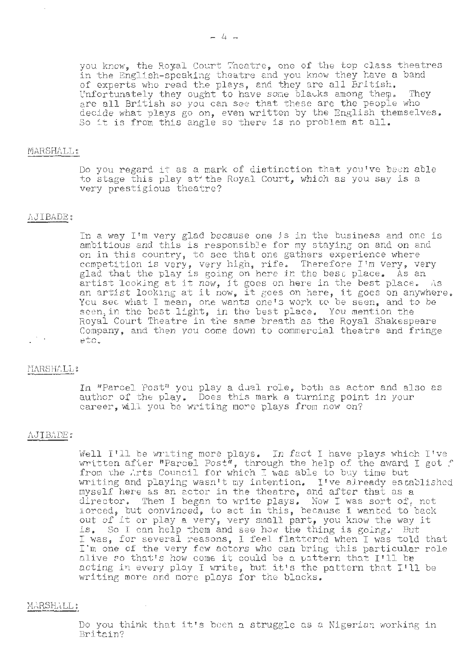you know, the Royal Court Theatre, one of the top class theatres in the English-speaking theatre and you know they have a band of experts who read the plays, and they are all British.<br>Unfortunately they ought to have some blacks among them. They are all British so you can see that these are the people who decide what plays go on, even written by the English themselves, So it is from this angle so there is no problem at all.

#### MARSHALL:

Do you regard it as a mark of distinction that you've been able to stage this play at the Royal Court, which as you say is a very prestigious theatre?

## AJIBADE:

In a way I'm very glad because one js in the business and one is ambitious and this is responsibJe for my staying on and on and on in this country, to see that one gathers experience where ccmpetition is very, very high, rife. Therefore I'm very, very glad that the play is going on here in the best place. As an glad that the play is going on here in the best place. As an artist looking at it now, it goes on here in the best place. As an artist looking at it now, it goes on here, it goes on anywhere. You see what I mean, one wants one's work to be seen, and to be seen, in the best light, in the best place. You mention the Royal Court Theatre in the same breath as the Royal Shakespeare Company, and then you come down to commercial theatre and fringe etc.

# MARSHALL:

In "Parcel Post" you play a dual role, both as actor and also as author of the play. Does this mark a turning point in your career, will you be writing more plays from now on?

# .I\JIBADE:

Well I'll be writing more plays. In fact I have plays which I've witten after "Parcel Post", through the help of the award I got f from the Arts Council for which I was able to buy time but writing and playing wasn't my intention. I've already established myself here as an ector in the theatre, and after that as a director. Then I began to write plays. Now I was sort of, not iorced, but convinced, to act in this, because I wanted to back out of it or play a very, very small part, you know the way it is. So I can help them and see how the thing is going. But I was, for several reasons, I feel flattered when I was told that I'm one of the very few actors who can bring this particular role alive so that's how come it could be a pattern that I'll be acting in every ploy I write, but it's the pattern that I'll be writing more and more plays for the blacks.

# MARSHALL :

Do you think that it's been a struggle as a Nigerian working in Britain?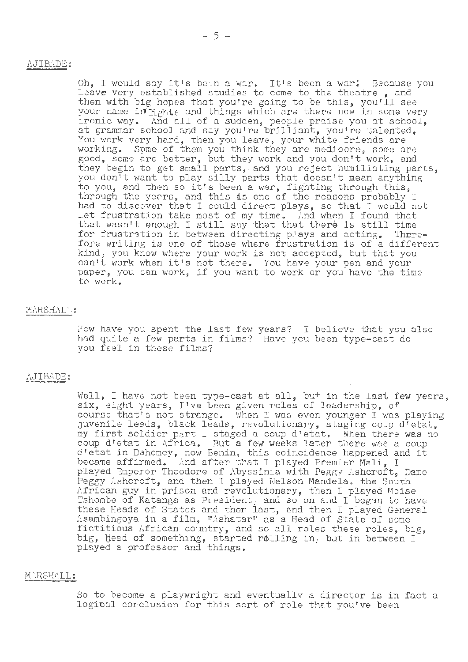# i'\.JIBADE:

Oh, I would say it's been a war. It's been a warl Because you leave very established studies to come to the theatre, and then with big hopes that you're going to be this, you'll see your name in fights and things which are there now in some very ironic way. And all of a sudden, people praise you at school, ironic way. And all of a sudden, people praise you at school, at grammar school and say you're brilliant, you're talented. You work very hard, then you leave, your white friends are working. Spme of them you think they are mediocre, some are working. Some of them you them they are medicore, bome are they begin to get small parts, and you reject humiliating parts, you don't want to play silly parts that doesn't mean anything to you, and then so it's been a war, fighting through this, through the years, and this is one of the reasons probably I on saght the years, and this is one of the reasons presently  $\frac{1}{n}$  had to discover that I could direct plays, so that I would not had to discover that I could direct plays, so that I would he that wasn't enough I still say that that there is still time for frustration in between directing plays and acting. Therefore writing is one of those where frustration is of a different kind, you know where your work is not accepted, but that you can't work when it's not there. You have your pen and your paper, you can work, if you want to work or you have the time *to* work.

# MARSHALL:

How have you spent the last few years? I believe that you also had quite a few parts in films? Have you been type-cast do you feel in these films?

### AJIBADE:

Well, I have not been type-cast at all, but in the last few years, were, I have not been sype cabe as any, but in the rast it course that's not strange. When I was even younger I was playing juvenile leaus, black leads, revolutionary, staging coup d'etat, my first soldier part I staged a coup d'etat. When there was no coup d'etat in Africa. But a few weeks later there was a coup d'etat in Dahomey, now Benin, this coir.cidence happened and it became affirmed. And after t~at I played Premier Mali, I played Emperor Theodore of Abyssinia with Peggy Ashcroft, Dame Peggy Ashcroft, and then I played Nelson Mandela. the South African guy in prison and revolutionary, then I played Moise Tshombe of Katanga as President, and so on and I began to have these Heads of States and then last, and then I played General Asambingoya in a film, "Ashatar" as a Head of State of some fictitious African country, and so all roles these roles, big, big, bead of something, started rolling in. but in between I played a professor and things.

# MARSHALL:

So to become a playwright and eventually a director is in fact a logical corclusion for this sort of role that you've been